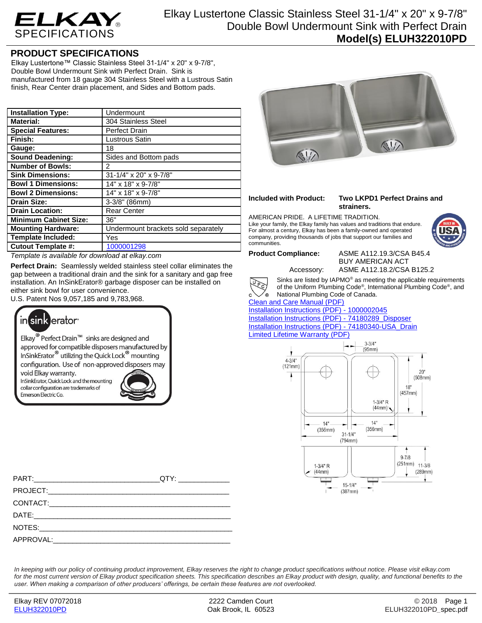

Elkay Lustertone Classic Stainless Steel 31-1/4" x 20" x 9-7/8" Double Bowl Undermount Sink with Perfect Drain **Model(s) ELUH322010PD**

## **PRODUCT SPECIFICATIONS**

Elkay Lustertone™ Classic Stainless Steel 31-1/4" x 20" x 9-7/8", Double Bowl Undermount Sink with Perfect Drain. Sink is manufactured from 18 gauge 304 Stainless Steel with a Lustrous Satin finish, Rear Center drain placement, and Sides and Bottom pads.

| <b>Installation Type:</b>    | Undermount                          |
|------------------------------|-------------------------------------|
| <b>Material:</b>             | 304 Stainless Steel                 |
| <b>Special Features:</b>     | <b>Perfect Drain</b>                |
| Finish:                      | Lustrous Satin                      |
| Gauge:                       | 18                                  |
| <b>Sound Deadening:</b>      | Sides and Bottom pads               |
| <b>Number of Bowls:</b>      | 2                                   |
| <b>Sink Dimensions:</b>      | 31-1/4" x 20" x 9-7/8"              |
| <b>Bowl 1 Dimensions:</b>    | 14" x 18" x 9-7/8"                  |
| <b>Bowl 2 Dimensions:</b>    | 14" x 18" x 9-7/8"                  |
| <b>Drain Size:</b>           | $3-3/8"$ (86mm)                     |
| <b>Drain Location:</b>       | <b>Rear Center</b>                  |
| <b>Minimum Cabinet Size:</b> | 36"                                 |
| <b>Mounting Hardware:</b>    | Undermount brackets sold separately |
| <b>Template Included:</b>    | Yes                                 |
| <b>Cutout Template #:</b>    | 1000001298                          |

*Template is available for download at elkay.com*

**Perfect Drain:** Seamlessly welded stainless steel collar eliminates the gap between a traditional drain and the sink for a sanitary and gap free installation. An InSinkErator® garbage disposer can be installed on either sink bowl for user convenience.

U.S. Patent Nos 9,057,185 and 9,783,968.



Elkay<sup>®</sup> Perfect Drain<sup>™</sup> sinks are designed and approved for compatible disposers manufactured by InSinkErator<sup>®</sup> utilizing the Quick Lock<sup>®</sup> mounting configuration. Use of non-approved disposers may

void Elkay warranty. InSinkErator, Quick Lock and the mounting collar configuration are trademarks of Emerson Electric Co.





**Included with Product: Two LKPD1 Perfect Drains and strainers.**

AMERICAN PRIDE. A LIFETIME TRADITION. Like your family, the Elkay family has values and traditions that endure. For almost a century, Elkay has been a family-owned and operated company, providing thousands of jobs that support our families and communities.



**Product Compliance:** ASME A112.19.3/CSA B45.4 BUY AMERICAN ACT Accessory: ASME A112.18.2/CSA B125.2

Sinks are listed by IAPMO® as meeting the applicable requirements of the Uniform Plumbing Code® , International Plumbing Code® , and

Leg

.<br>® National Plumbing Code of Canada. [Clean and Care Manual \(PDF\)](http://www.elkay.com/wcsstore/lkdocs/care-cleaning-install-warranty-sheets/residential%20and%20commercial%20care%20%20cleaning.pdf)

[Installation Instructions \(PDF\) -](http://www.elkay.com/wcsstore/lkdocs/care-cleaning-install-warranty-sheets/1000002045.pdf) 100000204[5](http://www.elkay.com/wcsstore/lkdocs/care-cleaning-install-warranty-sheets/1000002045.pdf) [Installation Instructions \(PDF\) -](http://www.elkay.com/wcsstore/lkdocs/care-cleaning-install-warranty-sheets/74180289_disposer.pdf) 74180289\_Dispose[r](http://www.elkay.com/wcsstore/lkdocs/care-cleaning-install-warranty-sheets/74180289_disposer.pdf) [Installation Instructions \(PDF\) -](http://www.elkay.com/wcsstore/lkdocs/care-cleaning-install-warranty-sheets/74180340-usa_drain.pdf) 74180340-USA\_Drai[n](http://www.elkay.com/wcsstore/lkdocs/care-cleaning-install-warranty-sheets/74180340-usa_drain.pdf) [Limited Lifetime Warranty](http://www.elkay.com/wcsstore/lkdocs/care-cleaning-install-warranty-sheets/residential%20sinks%20warranty.pdf) (PDF)



*In keeping with our policy of continuing product improvement, Elkay reserves the right to change product specifications without notice. Please visit elkay.com*  for the most current version of Elkay product specification sheets. This specification describes an Elkay product with design, quality, and functional benefits to the *user. When making a comparison of other producers' offerings, be certain these features are not overlooked.*